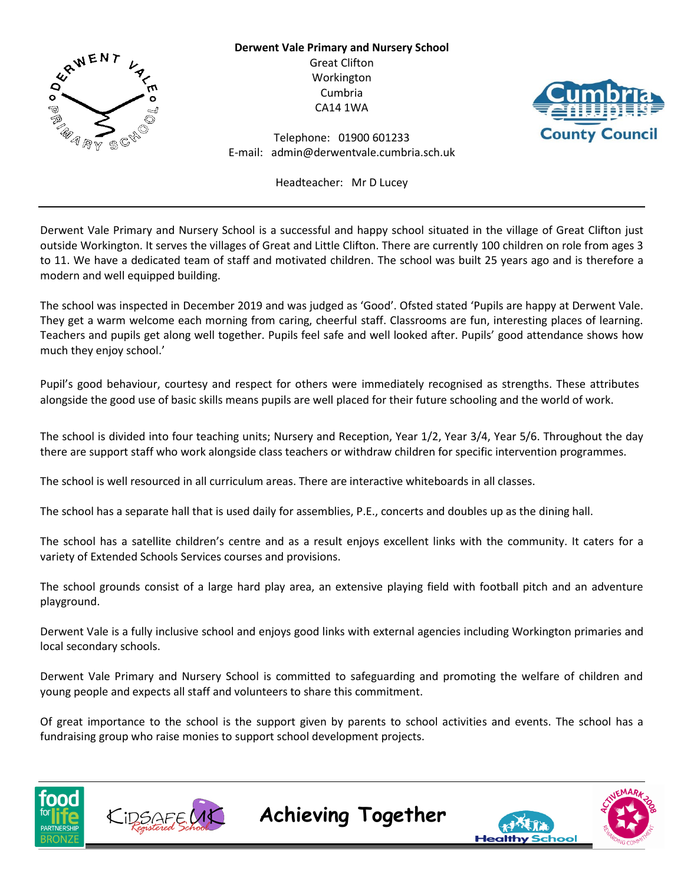

**Derwent Vale Primary and Nursery School** Great Clifton Workington Cumbria CA14 1WA



Telephone: 01900 601233 E-mail: admin@derwentvale.cumbria.sch.uk

Headteacher: Mr D Lucey

Derwent Vale Primary and Nursery School is a successful and happy school situated in the village of Great Clifton just outside Workington. It serves the villages of Great and Little Clifton. There are currently 100 children on role from ages 3 to 11. We have a dedicated team of staff and motivated children. The school was built 25 years ago and is therefore a modern and well equipped building.

The school was inspected in December 2019 and was judged as 'Good'. Ofsted stated 'Pupils are happy at Derwent Vale. They get a warm welcome each morning from caring, cheerful staff. Classrooms are fun, interesting places of learning. Teachers and pupils get along well together. Pupils feel safe and well looked after. Pupils' good attendance shows how much they enjoy school.'

Pupil's good behaviour, courtesy and respect for others were immediately recognised as strengths. These attributes alongside the good use of basic skills means pupils are well placed for their future schooling and the world of work.

The school is divided into four teaching units; Nursery and Reception, Year 1/2, Year 3/4, Year 5/6. Throughout the day there are support staff who work alongside class teachers or withdraw children for specific intervention programmes.

The school is well resourced in all curriculum areas. There are interactive whiteboards in all classes.

The school has a separate hall that is used daily for assemblies, P.E., concerts and doubles up as the dining hall.

The school has a satellite children's centre and as a result enjoys excellent links with the community. It caters for a variety of Extended Schools Services courses and provisions.

The school grounds consist of a large hard play area, an extensive playing field with football pitch and an adventure playground.

Derwent Vale is a fully inclusive school and enjoys good links with external agencies including Workington primaries and local secondary schools.

Derwent Vale Primary and Nursery School is committed to safeguarding and promoting the welfare of children and young people and expects all staff and volunteers to share this commitment.

Of great importance to the school is the support given by parents to school activities and events. The school has a fundraising group who raise monies to support school development projects.

**Achieving Together**